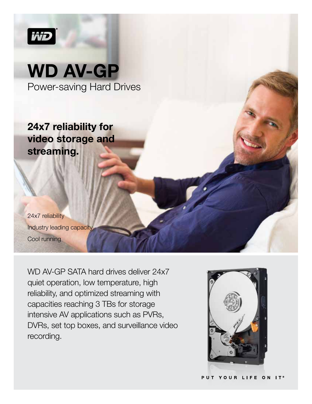

# WD AV-GP Power-saving Hard Drives

24x7 reliability for video storage and streaming.

24x7 reliability Industry leading capacity Cool running

WD AV-GP SATA hard drives deliver 24x7 quiet operation, low temperature, high reliability, and optimized streaming with capacities reaching 3 TBs for storage intensive AV applications such as PVRs, DVRs, set top boxes, and surveillance video recording.